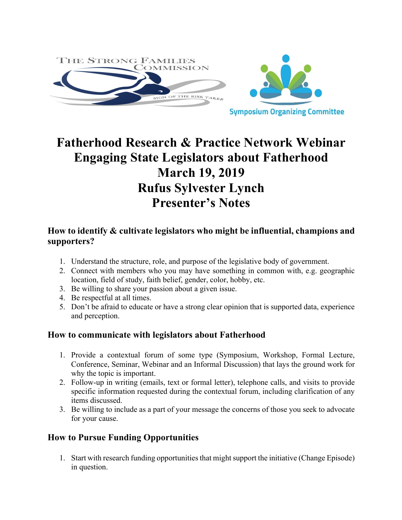

# **Fatherhood Research & Practice Network Webinar Engaging State Legislators about Fatherhood March 19, 2019 Rufus Sylvester Lynch Presenter's Notes**

## **How to identify & cultivate legislators who might be influential, champions and supporters?**

- 1. Understand the structure, role, and purpose of the legislative body of government.
- 2. Connect with members who you may have something in common with, e.g. geographic location, field of study, faith belief, gender, color, hobby, etc.
- 3. Be willing to share your passion about a given issue.
- 4. Be respectful at all times.
- 5. Don't be afraid to educate or have a strong clear opinion that is supported data, experience and perception.

## **How to communicate with legislators about Fatherhood**

- 1. Provide a contextual forum of some type (Symposium, Workshop, Formal Lecture, Conference, Seminar, Webinar and an Informal Discussion) that lays the ground work for why the topic is important.
- 2. Follow-up in writing (emails, text or formal letter), telephone calls, and visits to provide specific information requested during the contextual forum, including clarification of any items discussed.
- 3. Be willing to include as a part of your message the concerns of those you seek to advocate for your cause.

# **How to Pursue Funding Opportunities**

1. Start with research funding opportunities that might support the initiative (Change Episode) in question.